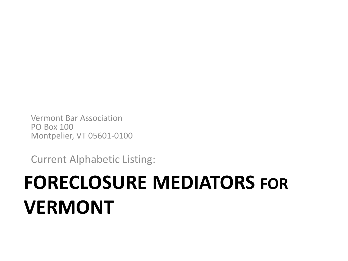# Vermont Bar Association PO Box 100 Montpelier, VT 05601-0100

Current Alphabetic Listing:

# **FORECLOSURE MEDIATORS FOR VERMONT**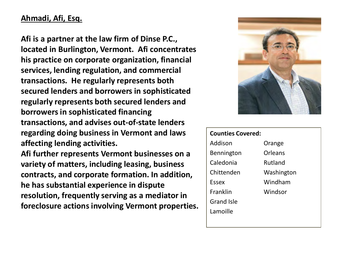# **Ahmadi, Afi, Esq.**

**Afi is a partner at the law firm of Dinse P.C., located in Burlington, Vermont. Afi concentrates his practice on corporate organization, financial services, lending regulation, and commercial transactions. He regularly represents both secured lenders and borrowers in sophisticated regularly represents both secured lenders and borrowers in sophisticated financing transactions, and advises out-of-state lenders regarding doing business in Vermont and laws affecting lending activities.** 

**Afi further represents Vermont businesses on a variety of matters, including leasing, business contracts, and corporate formation. In addition, he has substantial experience in dispute resolution, frequently serving as a mediator in foreclosure actions involving Vermont properties.**



| <b>Counties Covered:</b> |            |  |
|--------------------------|------------|--|
| Addison                  | Orange     |  |
| Bennington               | Orleans    |  |
| Caledonia                | Rutland    |  |
| Chittenden               | Washington |  |
| Essex                    | Windham    |  |
| Franklin                 | Windsor    |  |
| Grand Isle               |            |  |
| Lamoille                 |            |  |
|                          |            |  |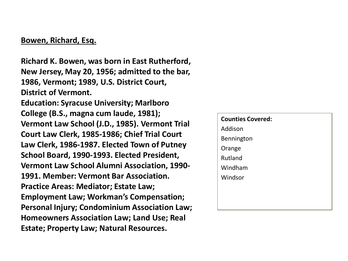#### **Bowen, Richard, Esq.**

**Richard K. Bowen, was born in East Rutherford, New Jersey, May 20, 1956; admitted to the bar, 1986, Vermont; 1989, U.S. District Court, District of Vermont. Education: Syracuse University; Marlboro College (B.S., magna cum laude, 1981); Vermont Law School (J.D., 1985). Vermont Trial Court Law Clerk, 1985-1986; Chief Trial Court Law Clerk, 1986-1987. Elected Town of Putney School Board, 1990-1993. Elected President, Vermont Law School Alumni Association, 1990- 1991. Member: Vermont Bar Association. Practice Areas: Mediator; Estate Law; Employment Law; Workman's Compensation; Personal Injury; Condominium Association Law; Homeowners Association Law; Land Use; Real Estate; Property Law; Natural Resources.** 

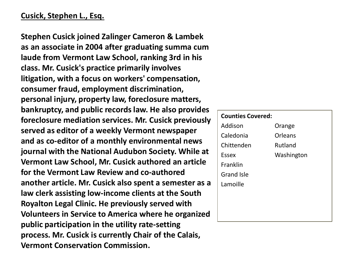# **Cusick, Stephen L., Esq.**

**Stephen Cusick joined Zalinger Cameron & Lambek as an associate in 2004 after graduating summa cum laude from Vermont Law School, ranking 3rd in his class. Mr. Cusick's practice primarily involves litigation, with a focus on workers' compensation, consumer fraud, employment discrimination, personal injury, property law, foreclosure matters, bankruptcy, and public records law. He also provides foreclosure mediation services. Mr. Cusick previously served as editor of a weekly Vermont newspaper and as co-editor of a monthly environmental news journal with the National Audubon Society. While at Vermont Law School, Mr. Cusick authored an article for the Vermont Law Review and co-authored another article. Mr. Cusick also spent a semester as a law clerk assisting low-income clients at the South Royalton Legal Clinic. He previously served with Volunteers in Service to America where he organized public participation in the utility rate-setting process. Mr. Cusick is currently Chair of the Calais, Vermont Conservation Commission.** 

# **Counties Covered:** Addison Caledonia Chittenden Essex Franklin Grand Isle Lamoille Orange Orleans Rutland Washington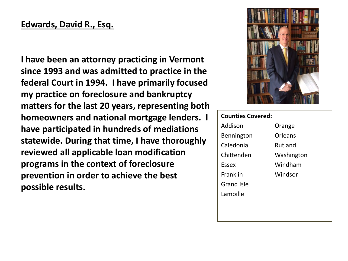# **Edwards, David R., Esq.**

**I have been an attorney practicing in Vermont since 1993 and was admitted to practice in the federal Court in 1994. I have primarily focused my practice on foreclosure and bankruptcy matters for the last 20 years, representing both homeowners and national mortgage lenders. I have participated in hundreds of mediations statewide. During that time, I have thoroughly reviewed all applicable loan modification programs in the context of foreclosure prevention in order to achieve the best possible results.** 



| <b>Counties Covered:</b> |            |
|--------------------------|------------|
| Addison                  | Orange     |
| Bennington               | Orleans    |
| Caledonia                | Rutland    |
| Chittenden               | Washington |
| <b>Essex</b>             | Windham    |
| Franklin                 | Windsor    |
| <b>Grand Isle</b>        |            |
| Lamoille                 |            |
|                          |            |
|                          |            |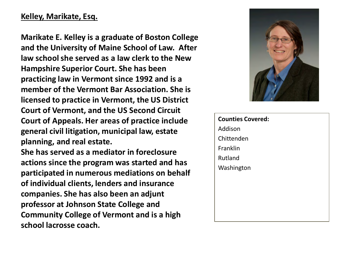# **Kelley, Marikate, Esq.**

**Marikate E. Kelley is a graduate of Boston College and the University of Maine School of Law. After law school she served as a law clerk to the New Hampshire Superior Court. She has been practicing law in Vermont since 1992 and is a member of the Vermont Bar Association. She is licensed to practice in Vermont, the US District Court of Vermont, and the US Second Circuit Court of Appeals. Her areas of practice include general civil litigation, municipal law, estate planning, and real estate.**

**She has served as a mediator in foreclosure actions since the program was started and has participated in numerous mediations on behalf of individual clients, lenders and insurance companies. She has also been an adjunt professor at Johnson State College and Community College of Vermont and is a high school lacrosse coach.**



**Counties Covered:** Addison Chittenden Franklin Rutland Washington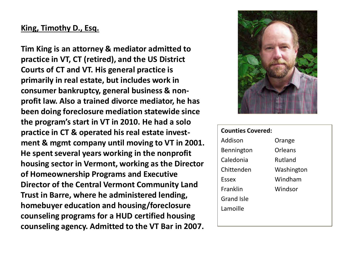## **King, Timothy D., Esq.**

**Tim King is an attorney & mediator admitted to practice in VT, CT (retired), and the US District Courts of CT and VT. His general practice is primarily in real estate, but includes work in consumer bankruptcy, general business & nonprofit law. Also a trained divorce mediator, he has been doing foreclosure mediation statewide since the program's start in VT in 2010. He had a solo practice in CT & operated his real estate investment & mgmt company until moving to VT in 2001. He spent several years working in the nonprofit housing sector in Vermont, working as the Director of Homeownership Programs and Executive Director of the Central Vermont Community Land Trust in Barre, where he administered lending, homebuyer education and housing/foreclosure counseling programs for a HUD certified housing counseling agency. Admitted to the VT Bar in 2007.**



| <b>Counties Covered:</b> |            |  |
|--------------------------|------------|--|
| Addison                  | Orange     |  |
| Bennington               | Orleans    |  |
| Caledonia                | Rutland    |  |
| Chittenden               | Washington |  |
| Essex                    | Windham    |  |
| <b>Franklin</b>          | Windsor    |  |
| <b>Grand Isle</b>        |            |  |
| Lamoille                 |            |  |
|                          |            |  |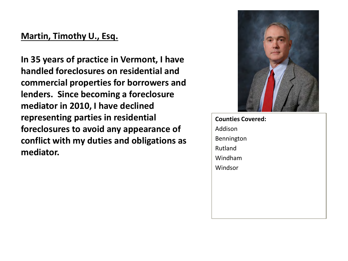# **Martin, Timothy U., Esq.**

**In 35 years of practice in Vermont, I have handled foreclosures on residential and commercial properties for borrowers and lenders. Since becoming a foreclosure mediator in 2010, I have declined representing parties in residential foreclosures to avoid any appearance of conflict with my duties and obligations as mediator.** 



**Counties Covered:** Addison Bennington Rutland Windham Windsor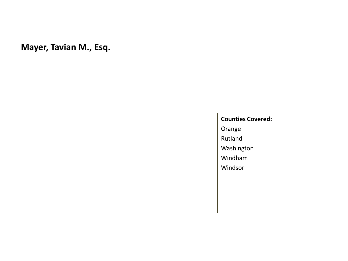**Mayer, Tavian M., Esq.**

#### **Counties Covered:**

Orange Rutland Washington

Windham

Windsor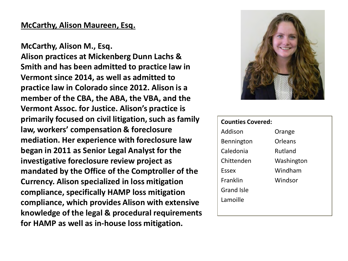#### **McCarthy, Alison Maureen, Esq.**

**McCarthy, Alison M., Esq. Alison practices at Mickenberg Dunn Lachs & Smith and has been admitted to practice law in Vermont since 2014, as well as admitted to practice law in Colorado since 2012. Alison is a member of the CBA, the ABA, the VBA, and the Vermont Assoc. for Justice. Alison's practice is primarily focused on civil litigation, such as family law, workers' compensation & foreclosure mediation. Her experience with foreclosure law began in 2011 as Senior Legal Analyst for the investigative foreclosure review project as mandated by the Office of the Comptroller of the Currency. Alison specialized in loss mitigation compliance, specifically HAMP loss mitigation compliance, which provides Alison with extensive knowledge of the legal & procedural requirements for HAMP as well as in-house loss mitigation.**



| <b>Counties Covered:</b> |            |
|--------------------------|------------|
| Addison                  | Orange     |
| Bennington               | Orleans    |
| Caledonia                | Rutland    |
| Chittenden               | Washington |
| <b>Essex</b>             | Windham    |
| Franklin                 | Windsor    |
| <b>Grand Isle</b>        |            |
| Lamoille                 |            |
|                          |            |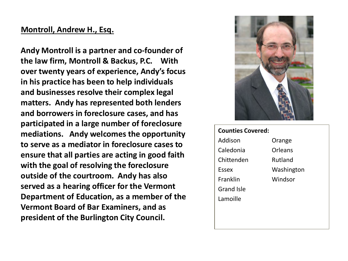#### **Montroll, Andrew H., Esq.**

**Andy Montroll is a partner and co-founder of the law firm, Montroll & Backus, P.C. With over twenty years of experience, Andy's focus in his practice has been to help individuals and businesses resolve their complex legal matters. Andy has represented both lenders and borrowers in foreclosure cases, and has participated in a large number of foreclosure mediations. Andy welcomes the opportunity to serve as a mediator in foreclosure cases to ensure that all parties are acting in good faith with the goal of resolving the foreclosure outside of the courtroom. Andy has also served as a hearing officer for the Vermont Department of Education, as a member of the Vermont Board of Bar Examiners, and as president of the Burlington City Council.**



| <b>Counties Covered:</b> |            |  |
|--------------------------|------------|--|
| Addison                  | Orange     |  |
| Caledonia                | Orleans    |  |
| Chittenden               | Rutland    |  |
| Essex                    | Washington |  |
| Franklin                 | Windsor    |  |
| Grand Isle               |            |  |
| Lamoille                 |            |  |
|                          |            |  |
|                          |            |  |
|                          |            |  |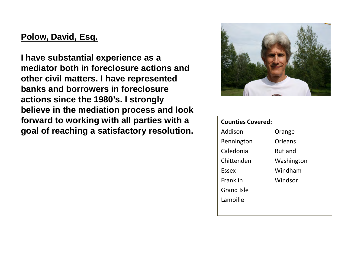# **Polow, David, Esq.**

**I have substantial experience as a mediator both in foreclosure actions and other civil matters. I have represented banks and borrowers in foreclosure actions since the 1980's. I strongly believe in the mediation process and look forward to working with all parties with a goal of reaching a satisfactory resolution.** 



| <b>Counties Covered:</b> |            |
|--------------------------|------------|
| Addison                  | Orange     |
| Bennington               | Orleans    |
| Caledonia                | Rutland    |
| Chittenden               | Washington |
| Essex                    | Windham    |
| Franklin                 | Windsor    |
| <b>Grand Isle</b>        |            |
| Lamoille                 |            |
|                          |            |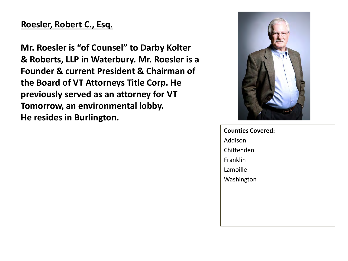# **Roesler, Robert C., Esq.**

**Mr. Roesler is "of Counsel" to Darby Kolter & Roberts, LLP in Waterbury. Mr. Roesler is a Founder & current President & Chairman of the Board of VT Attorneys Title Corp. He previously served as an attorney for VT Tomorrow, an environmental lobby. He resides in Burlington.**



**Counties Covered:** Addison Chittenden Franklin Lamoille Washington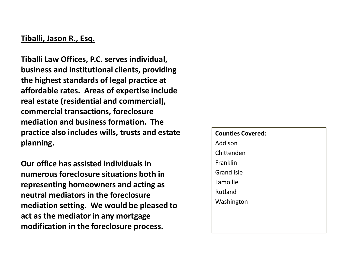### **Tiballi, Jason R., Esq.**

**Tiballi Law Offices, P.C. serves individual, business and institutional clients, providing the highest standards of legal practice at affordable rates. Areas of expertise include real estate (residential and commercial), commercial transactions, foreclosure mediation and business formation. The practice also includes wills, trusts and estate planning.**

**Our office has assisted individuals in numerous foreclosure situations both in representing homeowners and acting as neutral mediators in the foreclosure mediation setting. We would be pleased to act as the mediator in any mortgage modification in the foreclosure process.**

**Counties Covered:** Addison Chittenden Franklin Grand Isle Lamoille Rutland Washington